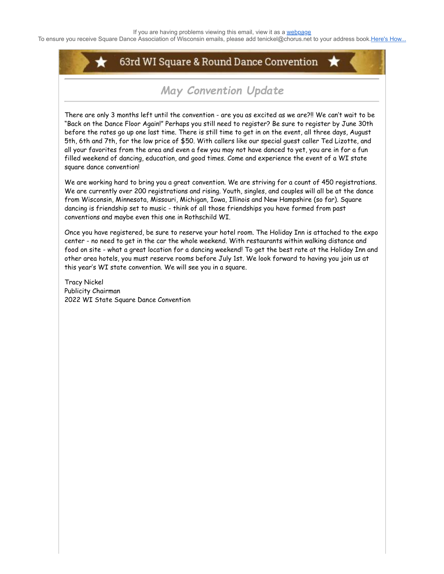To ensure you receive Square Dance Association of Wisconsin emails, please add tenickel@chorus.net to your address book.[Here's How...](https://www.radiantretailapps.com/CustomerConnect/Article.aspx/241/)

## 63rd WI Square & Round Dance Convention

# *May Convention Update*

There are only 3 months left until the convention - are you as excited as we are?!! We can't wait to be "Back on the Dance Floor Again!" Perhaps you still need to register? Be sure to register by June 30th before the rates go up one last time. There is still time to get in on the event, all three days, August 5th, 6th and 7th, for the low price of \$50. With callers like our special guest caller Ted Lizotte, and all your favorites from the area and even a few you may not have danced to yet, you are in for a fun filled weekend of dancing, education, and good times. Come and experience the event of a WI state square dance convention!

We are working hard to bring you a great convention. We are striving for a count of 450 registrations. We are currently over 200 registrations and rising. Youth, singles, and couples will all be at the dance from Wisconsin, Minnesota, Missouri, Michigan, Iowa, Illinois and New Hampshire (so far). Square dancing is friendship set to music - think of all those friendships you have formed from past conventions and maybe even this one in Rothschild WI.

Once you have registered, be sure to reserve your hotel room. The Holiday Inn is attached to the expo center - no need to get in the car the whole weekend. With restaurants within walking distance and food on site - what a great location for a dancing weekend! To get the best rate at the Holiday Inn and other area hotels, you must reserve rooms before July 1st. We look forward to having you join us at this year's WI state convention. We will see you in a square.

Tracy Nickel Publicity Chairman 2022 WI State Square Dance Convention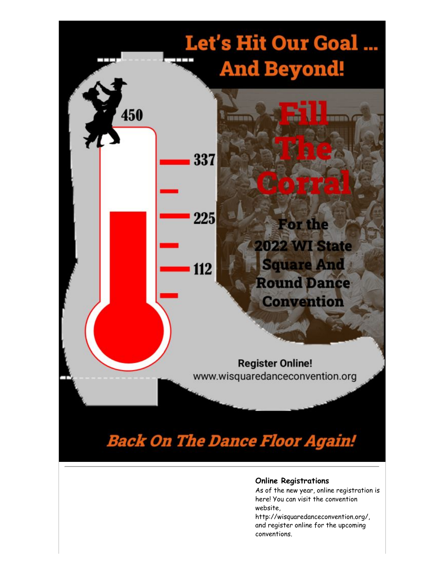

#### **Online Registrations**

As of the new year, online registration is here! You can visit the convention website,

http://wisquaredanceconvention.org/, and register online for the upcoming conventions.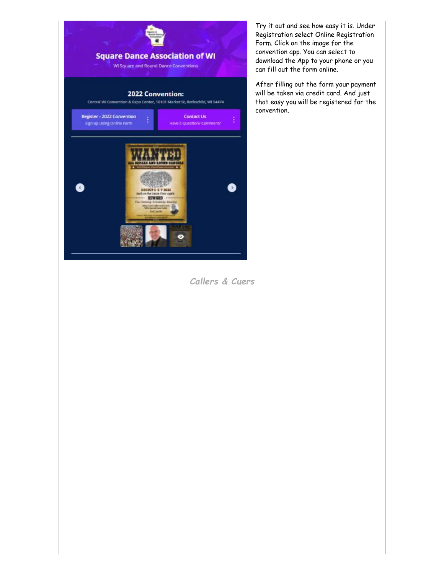

Try it out and see how easy it is. Under Registration select Online Registration Form. Click on the image for the convention app. You can select to download the App to your phone or you can fill out the form online.

After filling out the form your payment will be taken via credit card. And just that easy you will be registered for the convention.

*Callers & Cuers*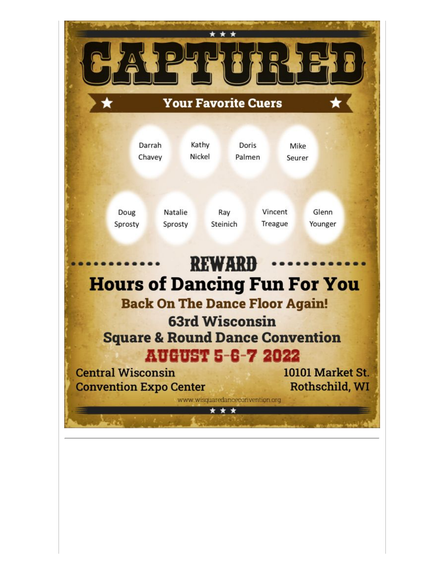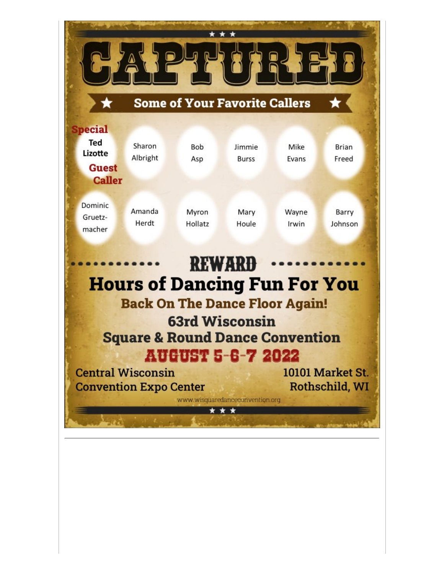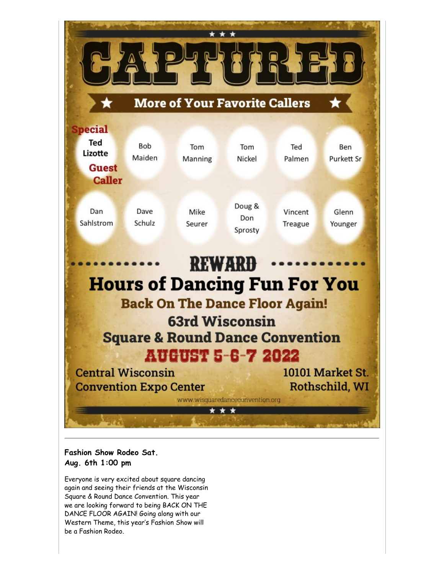

### **Fashion Show Rodeo Sat. Aug. 6th 1:00 pm**

Everyone is very excited about square dancing again and seeing their friends at the Wisconsin Square & Round Dance Convention. This year we are looking forward to being BACK ON THE DANCE FLOOR AGAIN! Going along with our Western Theme, this year's Fashion Show will be a Fashion Rodeo.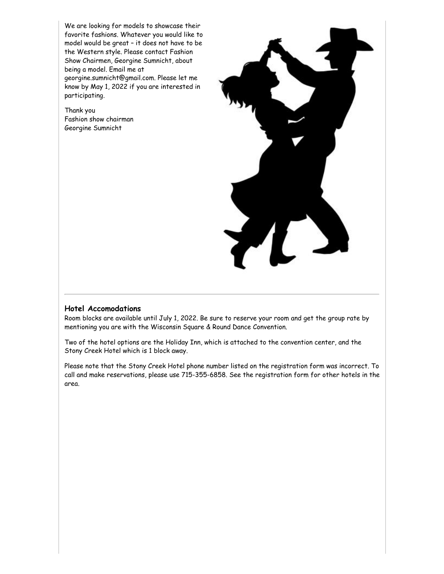We are looking for models to showcase their favorite fashions. Whatever you would like to model would be great – it does not have to be the Western style. Please contact Fashion Show Chairmen, Georgine Sumnicht, about being a model. Email me at georgine.sumnicht@gmail.com. Please let me know by May 1, 2022 if you are interested in participating.

Thank you Fashion show chairman Georgine Sumnicht



#### **Hotel Accomodations**

Room blocks are available until July 1, 2022. Be sure to reserve your room and get the group rate by mentioning you are with the Wisconsin Square & Round Dance Convention.

Two of the hotel options are the Holiday Inn, which is attached to the convention center, and the Stony Creek Hotel which is 1 block away.

Please note that the Stony Creek Hotel phone number listed on the registration form was incorrect. To call and make reservations, please use 715-355-6858. See the registration form for other hotels in the area.